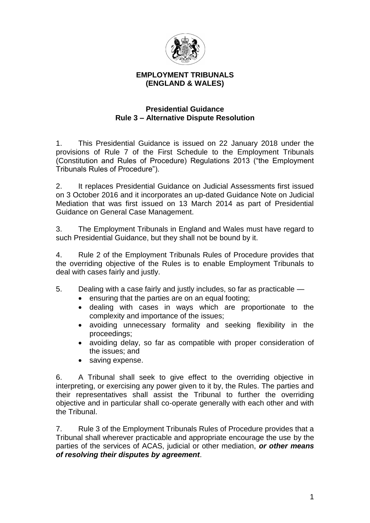

#### **EMPLOYMENT TRIBUNALS (ENGLAND & WALES)**

### **Presidential Guidance Rule 3 – Alternative Dispute Resolution**

1. This Presidential Guidance is issued on 22 January 2018 under the provisions of Rule 7 of the First Schedule to the Employment Tribunals (Constitution and Rules of Procedure) Regulations 2013 ("the Employment Tribunals Rules of Procedure").

2. It replaces Presidential Guidance on Judicial Assessments first issued on 3 October 2016 and it incorporates an up-dated Guidance Note on Judicial Mediation that was first issued on 13 March 2014 as part of Presidential Guidance on General Case Management.

3. The Employment Tribunals in England and Wales must have regard to such Presidential Guidance, but they shall not be bound by it.

4. Rule 2 of the Employment Tribunals Rules of Procedure provides that the overriding objective of the Rules is to enable Employment Tribunals to deal with cases fairly and justly.

- 5. Dealing with a case fairly and justly includes, so far as practicable
	- ensuring that the parties are on an equal footing;
	- dealing with cases in ways which are proportionate to the complexity and importance of the issues;
	- avoiding unnecessary formality and seeking flexibility in the proceedings;
	- avoiding delay, so far as compatible with proper consideration of the issues; and
	- saving expense.

6. A Tribunal shall seek to give effect to the overriding objective in interpreting, or exercising any power given to it by, the Rules. The parties and their representatives shall assist the Tribunal to further the overriding objective and in particular shall co-operate generally with each other and with the Tribunal.

7. Rule 3 of the Employment Tribunals Rules of Procedure provides that a Tribunal shall wherever practicable and appropriate encourage the use by the parties of the services of ACAS, judicial or other mediation, *or other means of resolving their disputes by agreement*.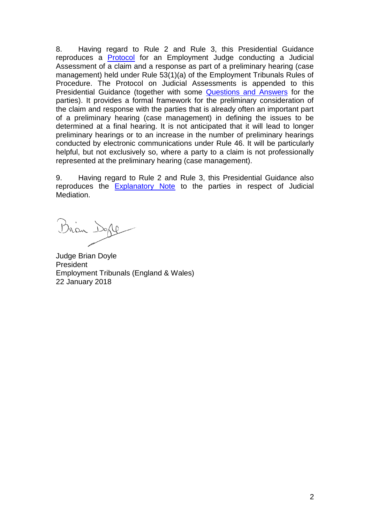8. Having regard to Rule 2 and Rule 3, this Presidential Guidance reproduces a [Protocol](#page-2-0) for an Employment Judge conducting a Judicial Assessment of a claim and a response as part of a preliminary hearing (case management) held under Rule 53(1)(a) of the Employment Tribunals Rules of Procedure. The Protocol on Judicial Assessments is appended to this Presidential Guidance (together with some [Questions and Answers](#page-6-0) for the parties). It provides a formal framework for the preliminary consideration of the claim and response with the parties that is already often an important part of a preliminary hearing (case management) in defining the issues to be determined at a final hearing. It is not anticipated that it will lead to longer preliminary hearings or to an increase in the number of preliminary hearings conducted by electronic communications under Rule 46. It will be particularly helpful, but not exclusively so, where a party to a claim is not professionally represented at the preliminary hearing (case management).

9. Having regard to Rule 2 and Rule 3, this Presidential Guidance also reproduces the **[Explanatory Note](#page-9-0)** to the parties in respect of Judicial Mediation.

Bran Dogle

Judge Brian Doyle President Employment Tribunals (England & Wales) 22 January 2018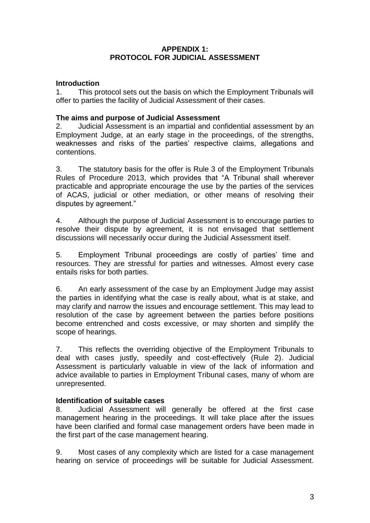### **APPENDIX 1: PROTOCOL FOR JUDICIAL ASSESSMENT**

## <span id="page-2-0"></span>**Introduction**

1. This protocol sets out the basis on which the Employment Tribunals will offer to parties the facility of Judicial Assessment of their cases.

### **The aims and purpose of Judicial Assessment**

2. Judicial Assessment is an impartial and confidential assessment by an Employment Judge, at an early stage in the proceedings, of the strengths, weaknesses and risks of the parties' respective claims, allegations and contentions.

3. The statutory basis for the offer is Rule 3 of the Employment Tribunals Rules of Procedure 2013, which provides that "A Tribunal shall wherever practicable and appropriate encourage the use by the parties of the services of ACAS, judicial or other mediation, or other means of resolving their disputes by agreement."

4. Although the purpose of Judicial Assessment is to encourage parties to resolve their dispute by agreement, it is not envisaged that settlement discussions will necessarily occur during the Judicial Assessment itself.

5. Employment Tribunal proceedings are costly of parties' time and resources. They are stressful for parties and witnesses. Almost every case entails risks for both parties.

6. An early assessment of the case by an Employment Judge may assist the parties in identifying what the case is really about, what is at stake, and may clarify and narrow the issues and encourage settlement. This may lead to resolution of the case by agreement between the parties before positions become entrenched and costs excessive, or may shorten and simplify the scope of hearings.

7. This reflects the overriding objective of the Employment Tribunals to deal with cases justly, speedily and cost-effectively (Rule 2). Judicial Assessment is particularly valuable in view of the lack of information and advice available to parties in Employment Tribunal cases, many of whom are unrepresented.

## **Identification of suitable cases**

8. Judicial Assessment will generally be offered at the first case management hearing in the proceedings. It will take place after the issues have been clarified and formal case management orders have been made in the first part of the case management hearing.

9. Most cases of any complexity which are listed for a case management hearing on service of proceedings will be suitable for Judicial Assessment.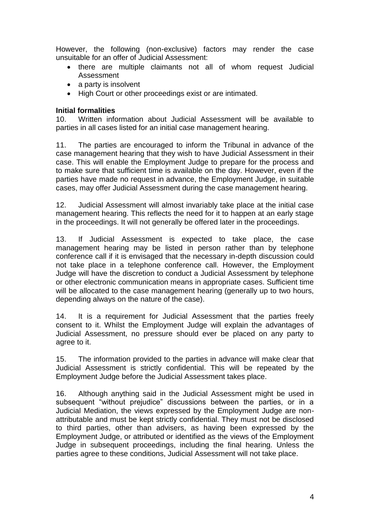However, the following (non-exclusive) factors may render the case unsuitable for an offer of Judicial Assessment:

- there are multiple claimants not all of whom request Judicial Assessment
- a party is insolvent
- High Court or other proceedings exist or are intimated.

### **Initial formalities**

10. Written information about Judicial Assessment will be available to parties in all cases listed for an initial case management hearing.

11. The parties are encouraged to inform the Tribunal in advance of the case management hearing that they wish to have Judicial Assessment in their case. This will enable the Employment Judge to prepare for the process and to make sure that sufficient time is available on the day. However, even if the parties have made no request in advance, the Employment Judge, in suitable cases, may offer Judicial Assessment during the case management hearing.

12. Judicial Assessment will almost invariably take place at the initial case management hearing. This reflects the need for it to happen at an early stage in the proceedings. It will not generally be offered later in the proceedings.

13. If Judicial Assessment is expected to take place, the case management hearing may be listed in person rather than by telephone conference call if it is envisaged that the necessary in-depth discussion could not take place in a telephone conference call. However, the Employment Judge will have the discretion to conduct a Judicial Assessment by telephone or other electronic communication means in appropriate cases. Sufficient time will be allocated to the case management hearing (generally up to two hours, depending always on the nature of the case).

14. It is a requirement for Judicial Assessment that the parties freely consent to it. Whilst the Employment Judge will explain the advantages of Judicial Assessment, no pressure should ever be placed on any party to agree to it.

15. The information provided to the parties in advance will make clear that Judicial Assessment is strictly confidential. This will be repeated by the Employment Judge before the Judicial Assessment takes place.

16. Although anything said in the Judicial Assessment might be used in subsequent "without prejudice" discussions between the parties, or in a Judicial Mediation, the views expressed by the Employment Judge are nonattributable and must be kept strictly confidential. They must not be disclosed to third parties, other than advisers, as having been expressed by the Employment Judge, or attributed or identified as the views of the Employment Judge in subsequent proceedings, including the final hearing. Unless the parties agree to these conditions, Judicial Assessment will not take place.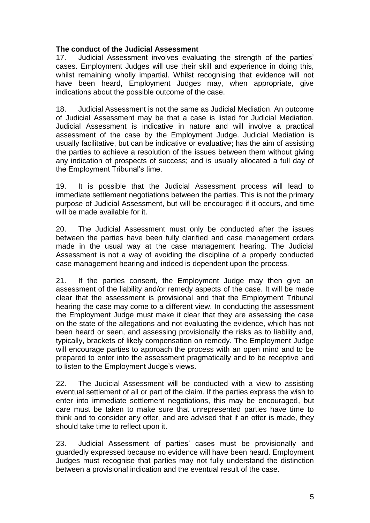### **The conduct of the Judicial Assessment**

17. Judicial Assessment involves evaluating the strength of the parties' cases. Employment Judges will use their skill and experience in doing this, whilst remaining wholly impartial. Whilst recognising that evidence will not have been heard, Employment Judges may, when appropriate, give indications about the possible outcome of the case.

18. Judicial Assessment is not the same as Judicial Mediation. An outcome of Judicial Assessment may be that a case is listed for Judicial Mediation. Judicial Assessment is indicative in nature and will involve a practical assessment of the case by the Employment Judge. Judicial Mediation is usually facilitative, but can be indicative or evaluative; has the aim of assisting the parties to achieve a resolution of the issues between them without giving any indication of prospects of success; and is usually allocated a full day of the Employment Tribunal's time.

19. It is possible that the Judicial Assessment process will lead to immediate settlement negotiations between the parties. This is not the primary purpose of Judicial Assessment, but will be encouraged if it occurs, and time will be made available for it.

20. The Judicial Assessment must only be conducted after the issues between the parties have been fully clarified and case management orders made in the usual way at the case management hearing. The Judicial Assessment is not a way of avoiding the discipline of a properly conducted case management hearing and indeed is dependent upon the process.

21. If the parties consent, the Employment Judge may then give an assessment of the liability and/or remedy aspects of the case. It will be made clear that the assessment is provisional and that the Employment Tribunal hearing the case may come to a different view. In conducting the assessment the Employment Judge must make it clear that they are assessing the case on the state of the allegations and not evaluating the evidence, which has not been heard or seen, and assessing provisionally the risks as to liability and, typically, brackets of likely compensation on remedy. The Employment Judge will encourage parties to approach the process with an open mind and to be prepared to enter into the assessment pragmatically and to be receptive and to listen to the Employment Judge's views.

22. The Judicial Assessment will be conducted with a view to assisting eventual settlement of all or part of the claim. If the parties express the wish to enter into immediate settlement negotiations, this may be encouraged, but care must be taken to make sure that unrepresented parties have time to think and to consider any offer, and are advised that if an offer is made, they should take time to reflect upon it.

23. Judicial Assessment of parties' cases must be provisionally and guardedly expressed because no evidence will have been heard. Employment Judges must recognise that parties may not fully understand the distinction between a provisional indication and the eventual result of the case.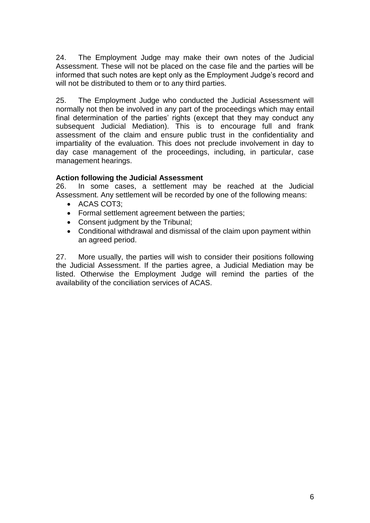24. The Employment Judge may make their own notes of the Judicial Assessment. These will not be placed on the case file and the parties will be informed that such notes are kept only as the Employment Judge's record and will not be distributed to them or to any third parties.

25. The Employment Judge who conducted the Judicial Assessment will normally not then be involved in any part of the proceedings which may entail final determination of the parties' rights (except that they may conduct any subsequent Judicial Mediation). This is to encourage full and frank assessment of the claim and ensure public trust in the confidentiality and impartiality of the evaluation. This does not preclude involvement in day to day case management of the proceedings, including, in particular, case management hearings.

### **Action following the Judicial Assessment**

26. In some cases, a settlement may be reached at the Judicial Assessment. Any settlement will be recorded by one of the following means:

- ACAS COT3;
- Formal settlement agreement between the parties;
- Consent judgment by the Tribunal;
- Conditional withdrawal and dismissal of the claim upon payment within an agreed period.

27. More usually, the parties will wish to consider their positions following the Judicial Assessment. If the parties agree, a Judicial Mediation may be listed. Otherwise the Employment Judge will remind the parties of the availability of the conciliation services of ACAS.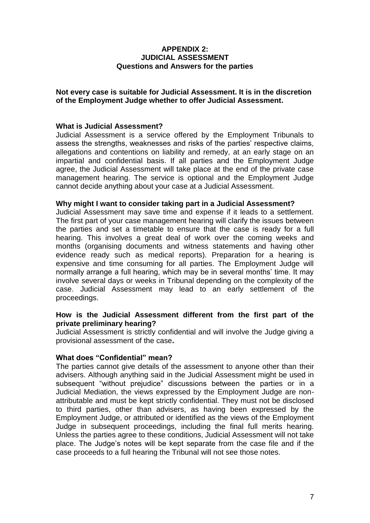### **APPENDIX 2: JUDICIAL ASSESSMENT Questions and Answers for the parties**

### <span id="page-6-0"></span>**Not every case is suitable for Judicial Assessment. It is in the discretion of the Employment Judge whether to offer Judicial Assessment.**

#### **What is Judicial Assessment?**

Judicial Assessment is a service offered by the Employment Tribunals to assess the strengths, weaknesses and risks of the parties' respective claims, allegations and contentions on liability and remedy, at an early stage on an impartial and confidential basis. If all parties and the Employment Judge agree, the Judicial Assessment will take place at the end of the private case management hearing. The service is optional and the Employment Judge cannot decide anything about your case at a Judicial Assessment.

#### **Why might I want to consider taking part in a Judicial Assessment?**

Judicial Assessment may save time and expense if it leads to a settlement. The first part of your case management hearing will clarify the issues between the parties and set a timetable to ensure that the case is ready for a full hearing. This involves a great deal of work over the coming weeks and months (organising documents and witness statements and having other evidence ready such as medical reports). Preparation for a hearing is expensive and time consuming for all parties. The Employment Judge will normally arrange a full hearing, which may be in several months' time. It may involve several days or weeks in Tribunal depending on the complexity of the case. Judicial Assessment may lead to an early settlement of the proceedings.

#### **How is the Judicial Assessment different from the first part of the private preliminary hearing?**

Judicial Assessment is strictly confidential and will involve the Judge giving a provisional assessment of the case**.**

#### **What does "Confidential" mean?**

The parties cannot give details of the assessment to anyone other than their advisers. Although anything said in the Judicial Assessment might be used in subsequent "without prejudice" discussions between the parties or in a Judicial Mediation, the views expressed by the Employment Judge are nonattributable and must be kept strictly confidential. They must not be disclosed to third parties, other than advisers, as having been expressed by the Employment Judge, or attributed or identified as the views of the Employment Judge in subsequent proceedings, including the final full merits hearing. Unless the parties agree to these conditions, Judicial Assessment will not take place. The Judge's notes will be kept separate from the case file and if the case proceeds to a full hearing the Tribunal will not see those notes.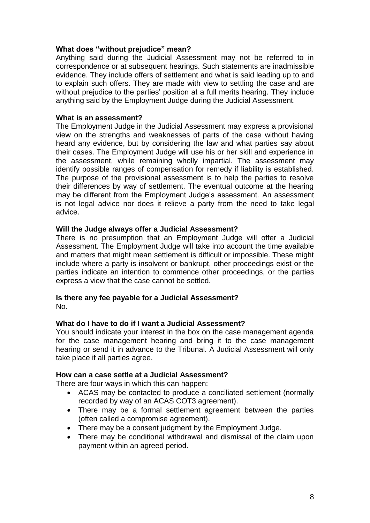### **What does "without prejudice" mean?**

Anything said during the Judicial Assessment may not be referred to in correspondence or at subsequent hearings. Such statements are inadmissible evidence. They include offers of settlement and what is said leading up to and to explain such offers. They are made with view to settling the case and are without prejudice to the parties' position at a full merits hearing. They include anything said by the Employment Judge during the Judicial Assessment.

### **What is an assessment?**

The Employment Judge in the Judicial Assessment may express a provisional view on the strengths and weaknesses of parts of the case without having heard any evidence, but by considering the law and what parties say about their cases. The Employment Judge will use his or her skill and experience in the assessment, while remaining wholly impartial. The assessment may identify possible ranges of compensation for remedy if liability is established. The purpose of the provisional assessment is to help the parties to resolve their differences by way of settlement. The eventual outcome at the hearing may be different from the Employment Judge's assessment. An assessment is not legal advice nor does it relieve a party from the need to take legal advice.

#### **Will the Judge always offer a Judicial Assessment?**

There is no presumption that an Employment Judge will offer a Judicial Assessment. The Employment Judge will take into account the time available and matters that might mean settlement is difficult or impossible. These might include where a party is insolvent or bankrupt, other proceedings exist or the parties indicate an intention to commence other proceedings, or the parties express a view that the case cannot be settled.

#### **Is there any fee payable for a Judicial Assessment?** No.

### **What do I have to do if I want a Judicial Assessment?**

You should indicate your interest in the box on the case management agenda for the case management hearing and bring it to the case management hearing or send it in advance to the Tribunal. A Judicial Assessment will only take place if all parties agree.

#### **How can a case settle at a Judicial Assessment?**

There are four ways in which this can happen:

- ACAS may be contacted to produce a conciliated settlement (normally recorded by way of an ACAS COT3 agreement).
- There may be a formal settlement agreement between the parties (often called a compromise agreement).
- There may be a consent judgment by the Employment Judge.
- There may be conditional withdrawal and dismissal of the claim upon payment within an agreed period.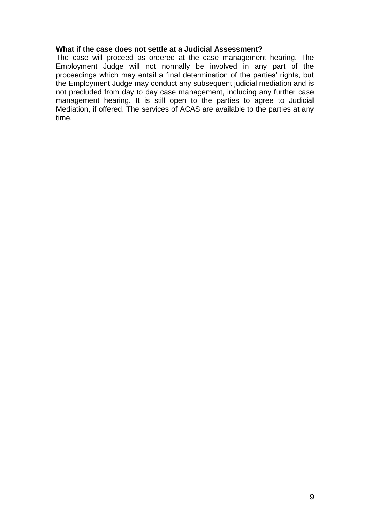### **What if the case does not settle at a Judicial Assessment?**

The case will proceed as ordered at the case management hearing. The Employment Judge will not normally be involved in any part of the proceedings which may entail a final determination of the parties' rights, but the Employment Judge may conduct any subsequent judicial mediation and is not precluded from day to day case management, including any further case management hearing. It is still open to the parties to agree to Judicial Mediation, if offered. The services of ACAS are available to the parties at any time.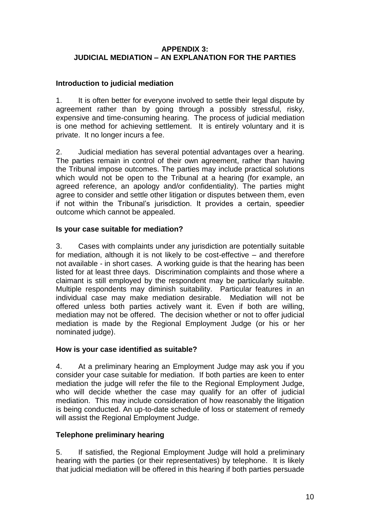## <span id="page-9-0"></span>**APPENDIX 3: JUDICIAL MEDIATION – AN EXPLANATION FOR THE PARTIES**

## **Introduction to judicial mediation**

1. It is often better for everyone involved to settle their legal dispute by agreement rather than by going through a possibly stressful, risky, expensive and time-consuming hearing. The process of judicial mediation is one method for achieving settlement. It is entirely voluntary and it is private. It no longer incurs a fee.

2. Judicial mediation has several potential advantages over a hearing. The parties remain in control of their own agreement, rather than having the Tribunal impose outcomes. The parties may include practical solutions which would not be open to the Tribunal at a hearing (for example, an agreed reference, an apology and/or confidentiality). The parties might agree to consider and settle other litigation or disputes between them, even if not within the Tribunal's jurisdiction. It provides a certain, speedier outcome which cannot be appealed.

## **Is your case suitable for mediation?**

3. Cases with complaints under any jurisdiction are potentially suitable for mediation, although it is not likely to be cost-effective – and therefore not available - in short cases. A working guide is that the hearing has been listed for at least three days. Discrimination complaints and those where a claimant is still employed by the respondent may be particularly suitable. Multiple respondents may diminish suitability. Particular features in an individual case may make mediation desirable. Mediation will not be offered unless both parties actively want it. Even if both are willing, mediation may not be offered. The decision whether or not to offer judicial mediation is made by the Regional Employment Judge (or his or her nominated judge).

## **How is your case identified as suitable?**

4. At a preliminary hearing an Employment Judge may ask you if you consider your case suitable for mediation. If both parties are keen to enter mediation the judge will refer the file to the Regional Employment Judge, who will decide whether the case may qualify for an offer of judicial mediation. This may include consideration of how reasonably the litigation is being conducted. An up-to-date schedule of loss or statement of remedy will assist the Regional Employment Judge.

# **Telephone preliminary hearing**

5. If satisfied, the Regional Employment Judge will hold a preliminary hearing with the parties (or their representatives) by telephone. It is likely that judicial mediation will be offered in this hearing if both parties persuade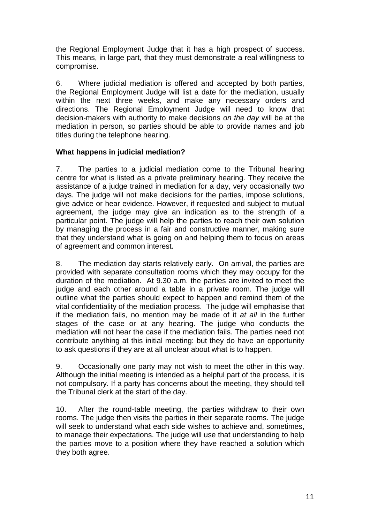the Regional Employment Judge that it has a high prospect of success. This means, in large part, that they must demonstrate a real willingness to compromise.

6. Where judicial mediation is offered and accepted by both parties, the Regional Employment Judge will list a date for the mediation, usually within the next three weeks, and make any necessary orders and directions. The Regional Employment Judge will need to know that decision-makers with authority to make decisions *on the day* will be at the mediation in person, so parties should be able to provide names and job titles during the telephone hearing.

## **What happens in judicial mediation?**

7. The parties to a judicial mediation come to the Tribunal hearing centre for what is listed as a private preliminary hearing. They receive the assistance of a judge trained in mediation for a day, very occasionally two days. The judge will not make decisions for the parties, impose solutions, give advice or hear evidence. However, if requested and subject to mutual agreement, the judge may give an indication as to the strength of a particular point. The judge will help the parties to reach their own solution by managing the process in a fair and constructive manner, making sure that they understand what is going on and helping them to focus on areas of agreement and common interest.

8. The mediation day starts relatively early. On arrival, the parties are provided with separate consultation rooms which they may occupy for the duration of the mediation. At 9.30 a.m. the parties are invited to meet the judge and each other around a table in a private room. The judge will outline what the parties should expect to happen and remind them of the vital confidentiality of the mediation process. The judge will emphasise that if the mediation fails, no mention may be made of it *at all* in the further stages of the case or at any hearing. The judge who conducts the mediation will not hear the case if the mediation fails. The parties need not contribute anything at this initial meeting: but they do have an opportunity to ask questions if they are at all unclear about what is to happen.

9. Occasionally one party may not wish to meet the other in this way. Although the initial meeting is intended as a helpful part of the process, it is not compulsory. If a party has concerns about the meeting, they should tell the Tribunal clerk at the start of the day.

10. After the round-table meeting, the parties withdraw to their own rooms. The judge then visits the parties in their separate rooms. The judge will seek to understand what each side wishes to achieve and, sometimes, to manage their expectations. The judge will use that understanding to help the parties move to a position where they have reached a solution which they both agree.